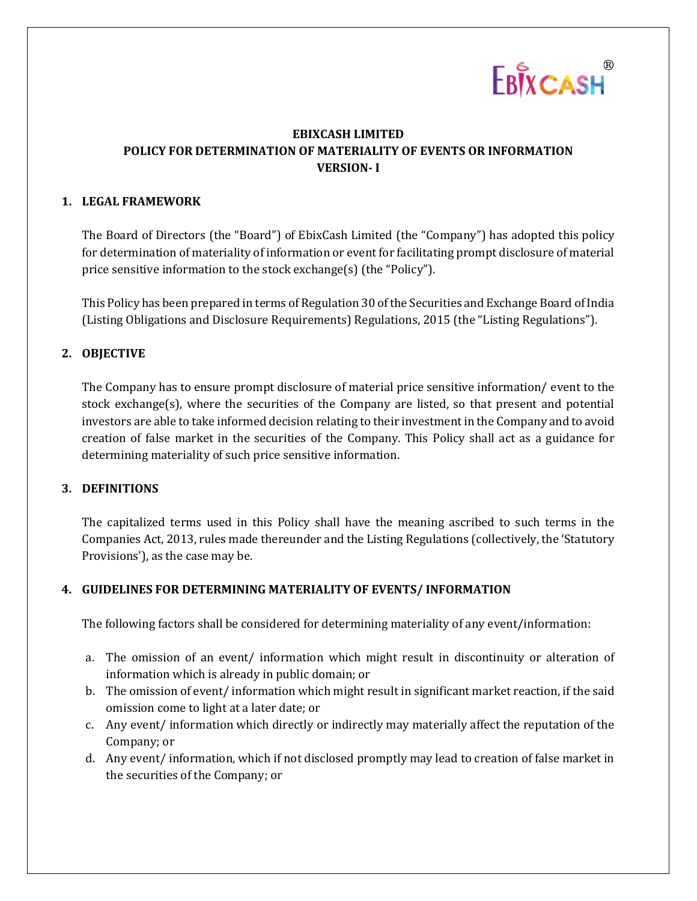# EBIXCASH

# **EBIXCASH LIMITED POLICY FOR DETERMINATION OF MATERIALITY OF EVENTS OR INFORMATION VERSION- I**

## **1. LEGAL FRAMEWORK**

The Board of Directors (the "Board") of EbixCash Limited (the "Company") has adopted this policy for determination of materiality of information or event for facilitating prompt disclosure of material price sensitive information to the stock exchange(s) (the "Policy").

This Policy has been prepared in terms of Regulation 30 of the Securities and Exchange Board of India (Listing Obligations and Disclosure Requirements) Regulations, 2015 (the "Listing Regulations").

## **2. OBJECTIVE**

The Company has to ensure prompt disclosure of material price sensitive information/ event to the stock exchange(s), where the securities of the Company are listed, so that present and potential investors are able to take informed decision relating to their investment in the Company and to avoid creation of false market in the securities of the Company. This Policy shall act as a guidance for determining materiality of such price sensitive information.

## **3. DEFINITIONS**

The capitalized terms used in this Policy shall have the meaning ascribed to such terms in the Companies Act, 2013, rules made thereunder and the Listing Regulations (collectively, the 'Statutory Provisions'), as the case may be.

## **4. GUIDELINES FOR DETERMINING MATERIALITY OF EVENTS/ INFORMATION**

The following factors shall be considered for determining materiality of any event/information:

- a. The omission of an event/ information which might result in discontinuity or alteration of information which is already in public domain; or
- b. The omission of event/ information which might result in significant market reaction, if the said omission come to light at a later date; or
- c. Any event/ information which directly or indirectly may materially affect the reputation of the Company; or
- d. Any event/ information, which if not disclosed promptly may lead to creation of false market in the securities of the Company; or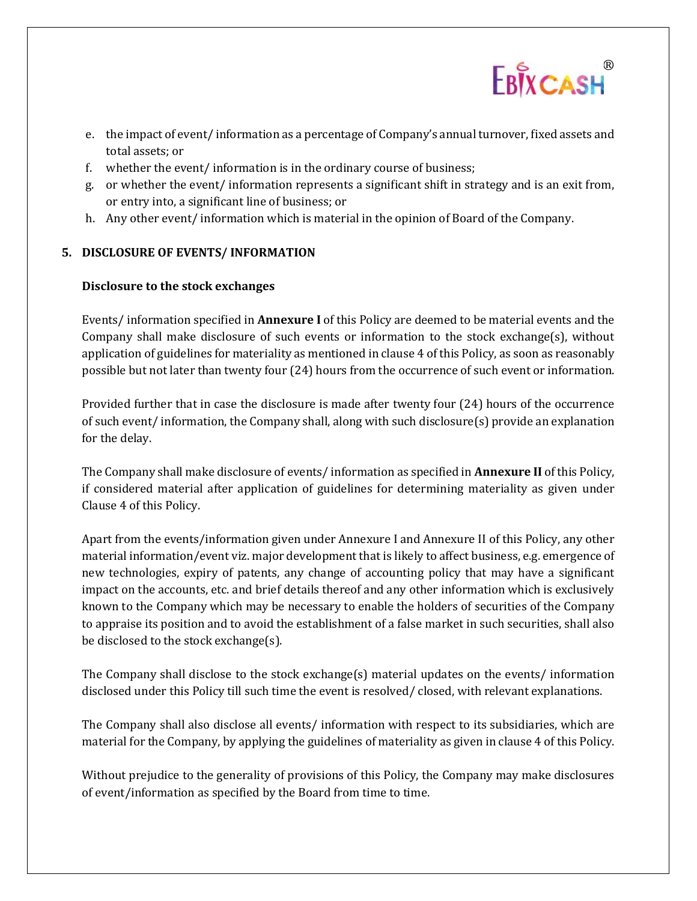

- e. the impact of event/ information as a percentage of Company's annual turnover, fixed assets and total assets; or
- f. whether the event/ information is in the ordinary course of business;
- g. or whether the event/ information represents a significant shift in strategy and is an exit from, or entry into, a significant line of business; or
- h. Any other event/ information which is material in the opinion of Board of the Company.

### **5. DISCLOSURE OF EVENTS/ INFORMATION**

#### **Disclosure to the stock exchanges**

Events/ information specified in **Annexure I** of this Policy are deemed to be material events and the Company shall make disclosure of such events or information to the stock exchange(s), without application of guidelines for materiality as mentioned in clause 4 of this Policy, as soon as reasonably possible but not later than twenty four (24) hours from the occurrence of such event or information.

Provided further that in case the disclosure is made after twenty four (24) hours of the occurrence of such event/ information, the Company shall, along with such disclosure(s) provide an explanation for the delay.

The Company shall make disclosure of events/ information as specified in **Annexure II** of this Policy, if considered material after application of guidelines for determining materiality as given under Clause 4 of this Policy.

Apart from the events/information given under Annexure I and Annexure II of this Policy, any other material information/event viz. major development that is likely to affect business, e.g. emergence of new technologies, expiry of patents, any change of accounting policy that may have a significant impact on the accounts, etc. and brief details thereof and any other information which is exclusively known to the Company which may be necessary to enable the holders of securities of the Company to appraise its position and to avoid the establishment of a false market in such securities, shall also be disclosed to the stock exchange(s).

The Company shall disclose to the stock exchange(s) material updates on the events/ information disclosed under this Policy till such time the event is resolved/ closed, with relevant explanations.

The Company shall also disclose all events/ information with respect to its subsidiaries, which are material for the Company, by applying the guidelines of materiality as given in clause 4 of this Policy.

Without prejudice to the generality of provisions of this Policy, the Company may make disclosures of event/information as specified by the Board from time to time.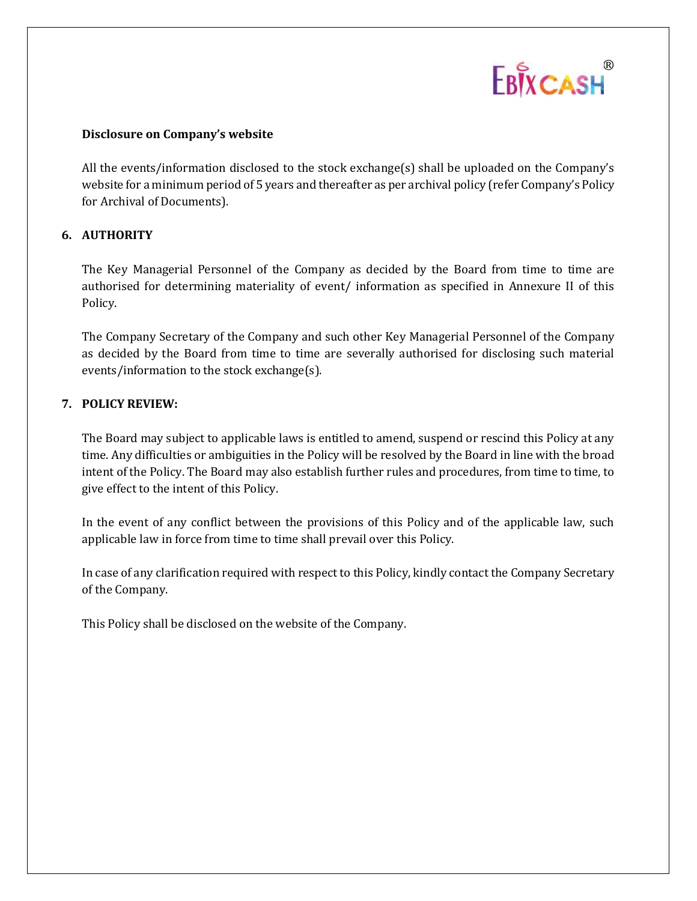# EBIXCASH

#### **Disclosure on Company's website**

All the events/information disclosed to the stock exchange(s) shall be uploaded on the Company's website for a minimum period of 5 years and thereafter as per archival policy (refer Company's Policy for Archival of Documents).

# **6. AUTHORITY**

The Key Managerial Personnel of the Company as decided by the Board from time to time are authorised for determining materiality of event/ information as specified in Annexure II of this Policy.

The Company Secretary of the Company and such other Key Managerial Personnel of the Company as decided by the Board from time to time are severally authorised for disclosing such material events/information to the stock exchange(s).

# **7. POLICY REVIEW:**

The Board may subject to applicable laws is entitled to amend, suspend or rescind this Policy at any time. Any difficulties or ambiguities in the Policy will be resolved by the Board in line with the broad intent of the Policy. The Board may also establish further rules and procedures, from time to time, to give effect to the intent of this Policy.

In the event of any conflict between the provisions of this Policy and of the applicable law, such applicable law in force from time to time shall prevail over this Policy.

In case of any clarification required with respect to this Policy, kindly contact the Company Secretary of the Company.

This Policy shall be disclosed on the website of the Company.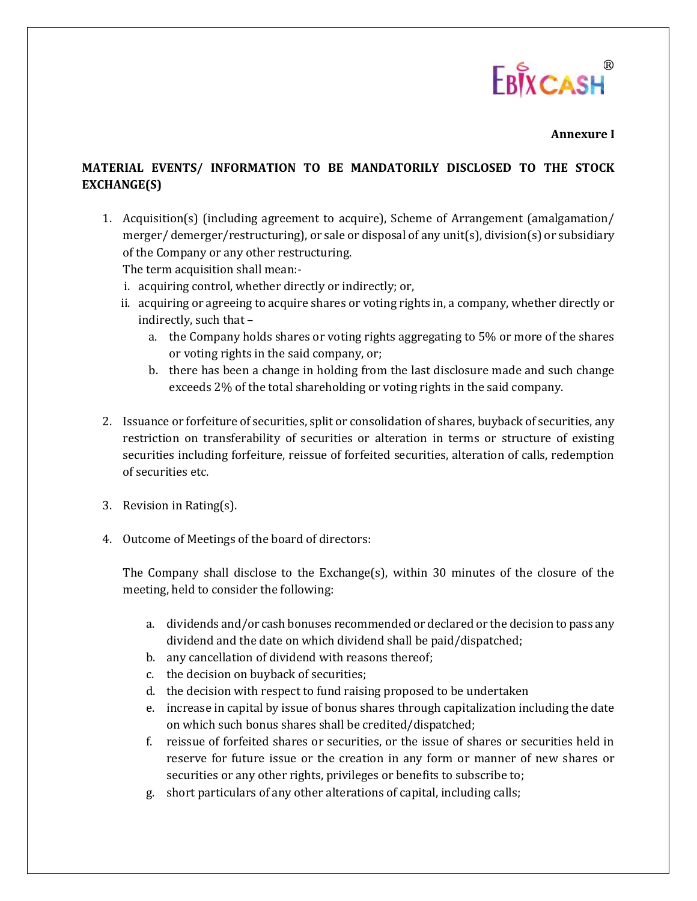

#### **Annexure I**

## **MATERIAL EVENTS/ INFORMATION TO BE MANDATORILY DISCLOSED TO THE STOCK EXCHANGE(S)**

1. Acquisition(s) (including agreement to acquire), Scheme of Arrangement (amalgamation/ merger/ demerger/restructuring), or sale or disposal of any unit(s), division(s) or subsidiary of the Company or any other restructuring.

The term acquisition shall mean:-

- i. acquiring control, whether directly or indirectly; or,
- ii. acquiring or agreeing to acquire shares or voting rights in, a company, whether directly or indirectly, such that –
	- a. the Company holds shares or voting rights aggregating to 5% or more of the shares or voting rights in the said company, or;
	- b. there has been a change in holding from the last disclosure made and such change exceeds 2% of the total shareholding or voting rights in the said company.
- 2. Issuance or forfeiture of securities, split or consolidation of shares, buyback of securities, any restriction on transferability of securities or alteration in terms or structure of existing securities including forfeiture, reissue of forfeited securities, alteration of calls, redemption of securities etc.
- 3. Revision in Rating(s).
- 4. Outcome of Meetings of the board of directors:

The Company shall disclose to the Exchange(s), within 30 minutes of the closure of the meeting, held to consider the following:

- a. dividends and/or cash bonuses recommended or declared or the decision to pass any dividend and the date on which dividend shall be paid/dispatched;
- b. any cancellation of dividend with reasons thereof;
- c. the decision on buyback of securities;
- d. the decision with respect to fund raising proposed to be undertaken
- e. increase in capital by issue of bonus shares through capitalization including the date on which such bonus shares shall be credited/dispatched;
- f. reissue of forfeited shares or securities, or the issue of shares or securities held in reserve for future issue or the creation in any form or manner of new shares or securities or any other rights, privileges or benefits to subscribe to;
- g. short particulars of any other alterations of capital, including calls;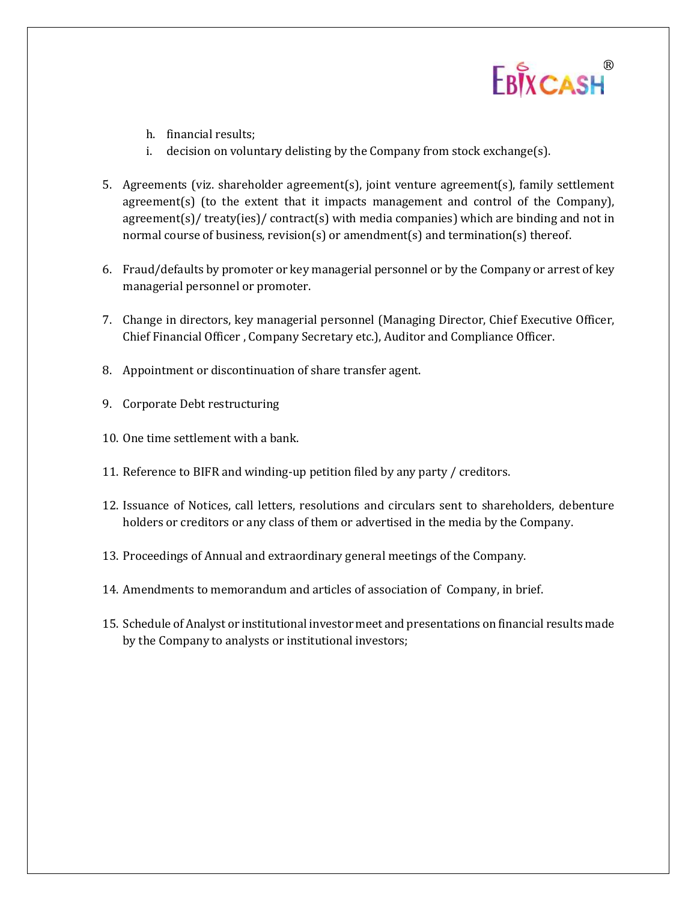# EBIXCASH

- h. financial results;
- i. decision on voluntary delisting by the Company from stock exchange(s).
- 5. Agreements (viz. shareholder agreement(s), joint venture agreement(s), family settlement agreement(s) (to the extent that it impacts management and control of the Company), agreement(s)/ treaty(ies)/ contract(s) with media companies) which are binding and not in normal course of business, revision(s) or amendment(s) and termination(s) thereof.
- 6. Fraud/defaults by promoter or key managerial personnel or by the Company or arrest of key managerial personnel or promoter.
- 7. Change in directors, key managerial personnel (Managing Director, Chief Executive Officer, Chief Financial Officer , Company Secretary etc.), Auditor and Compliance Officer.
- 8. Appointment or discontinuation of share transfer agent.
- 9. Corporate Debt restructuring
- 10. One time settlement with a bank.
- 11. Reference to BIFR and winding-up petition filed by any party / creditors.
- 12. Issuance of Notices, call letters, resolutions and circulars sent to shareholders, debenture holders or creditors or any class of them or advertised in the media by the Company.
- 13. Proceedings of Annual and extraordinary general meetings of the Company.
- 14. Amendments to memorandum and articles of association of Company, in brief.
- 15. Schedule of Analyst or institutional investor meet and presentations on financial results made by the Company to analysts or institutional investors;